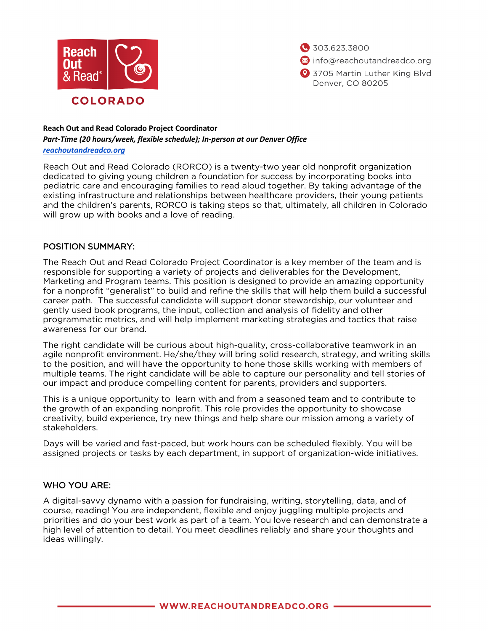

303.623.3800 nfo@reachoutandreadco.org 3705 Martin Luther King Blvd Denver, CO 80205

# **Reach Out and Read Colorado Project Coordinator**

*Part-Time (20 hours/week, flexible schedule); In-person at our Denver Office*

*[reachoutandreadco.org](https://reachoutandreadco.org/)*

Reach Out and Read Colorado (RORCO) is a twenty-two year old nonprofit organization dedicated to giving young children a foundation for success by incorporating books into pediatric care and encouraging families to read aloud together. By taking advantage of the existing infrastructure and relationships between healthcare providers, their young patients and the children's parents, RORCO is taking steps so that, ultimately, all children in Colorado will grow up with books and a love of reading.

## POSITION SUMMARY:

The Reach Out and Read Colorado Project Coordinator is a key member of the team and is responsible for supporting a variety of projects and deliverables for the Development, Marketing and Program teams. This position is designed to provide an amazing opportunity for a nonprofit "generalist" to build and refine the skills that will help them build a successful career path. The successful candidate will support donor stewardship, our volunteer and gently used book programs, the input, collection and analysis of fidelity and other programmatic metrics, and will help implement marketing strategies and tactics that raise awareness for our brand.

The right candidate will be curious about high-quality, cross-collaborative teamwork in an agile nonprofit environment. He/she/they will bring solid research, strategy, and writing skills to the position, and will have the opportunity to hone those skills working with members of multiple teams. The right candidate will be able to capture our personality and tell stories of our impact and produce compelling content for parents, providers and supporters.

This is a unique opportunity to learn with and from a seasoned team and to contribute to the growth of an expanding nonprofit. This role provides the opportunity to showcase creativity, build experience, try new things and help share our mission among a variety of stakeholders.

Days will be varied and fast-paced, but work hours can be scheduled flexibly. You will be assigned projects or tasks by each department, in support of organization-wide initiatives.

# WHO YOU ARE:

A digital-savvy dynamo with a passion for fundraising, writing, storytelling, data, and of course, reading! You are independent, flexible and enjoy juggling multiple projects and priorities and do your best work as part of a team. You love research and can demonstrate a high level of attention to detail. You meet deadlines reliably and share your thoughts and ideas willingly.